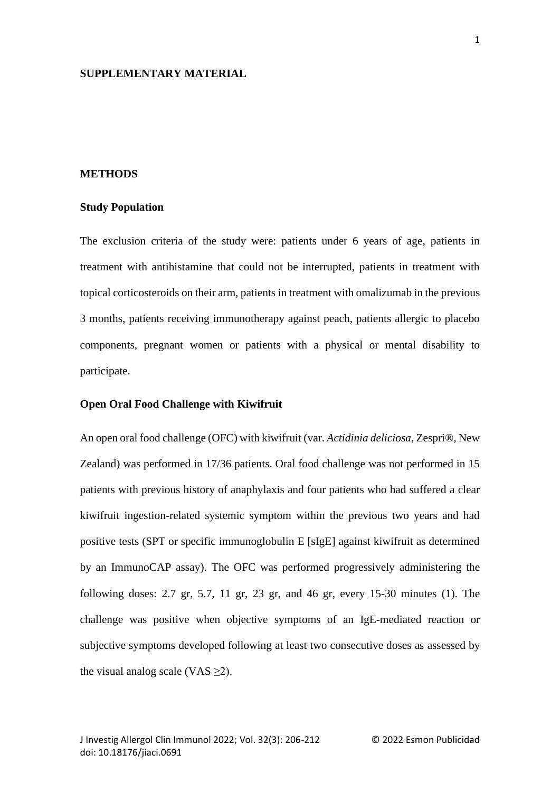# **SUPPLEMENTARY MATERIAL**

## **METHODS**

#### **Study Population**

The exclusion criteria of the study were: patients under 6 years of age, patients in treatment with antihistamine that could not be interrupted, patients in treatment with topical corticosteroids on their arm, patients in treatment with omalizumab in the previous 3 months, patients receiving immunotherapy against peach, patients allergic to placebo components, pregnant women or patients with a physical or mental disability to participate.

#### **Open Oral Food Challenge with Kiwifruit**

An open oral food challenge (OFC) with kiwifruit (var. *Actidinia deliciosa*, Zespri®, New Zealand) was performed in 17/36 patients. Oral food challenge was not performed in 15 patients with previous history of anaphylaxis and four patients who had suffered a clear kiwifruit ingestion-related systemic symptom within the previous two years and had positive tests (SPT or specific immunoglobulin E [sIgE] against kiwifruit as determined by an ImmunoCAP assay). The OFC was performed progressively administering the following doses: 2.7 gr, 5.7, 11 gr, 23 gr, and 46 gr, every 15-30 minutes (1). The challenge was positive when objective symptoms of an IgE-mediated reaction or subjective symptoms developed following at least two consecutive doses as assessed by the visual analog scale (VAS  $\geq$ 2).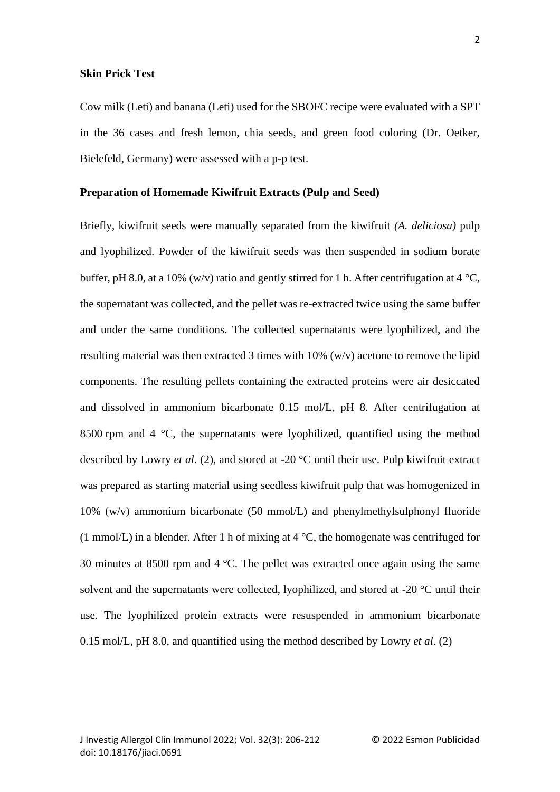### **Skin Prick Test**

Cow milk (Leti) and banana (Leti) used for the SBOFC recipe were evaluated with a SPT in the 36 cases and fresh lemon, chia seeds, and green food coloring (Dr. Oetker, Bielefeld, Germany) were assessed with a p-p test.

#### **Preparation of Homemade Kiwifruit Extracts (Pulp and Seed)**

Briefly, kiwifruit seeds were manually separated from the kiwifruit *(A. deliciosa)* pulp and lyophilized. Powder of the kiwifruit seeds was then suspended in sodium borate buffer, pH 8.0, at a 10% (w/v) ratio and gently stirred for 1 h. After centrifugation at 4 °C, the supernatant was collected, and the pellet was re-extracted twice using the same buffer and under the same conditions. The collected supernatants were lyophilized, and the resulting material was then extracted 3 times with 10% (w/v) acetone to remove the lipid components. The resulting pellets containing the extracted proteins were air desiccated and dissolved in ammonium bicarbonate 0.15 mol/L, pH 8. After centrifugation at 8500 rpm and 4 °C, the supernatants were lyophilized, quantified using the method described by Lowry *et al.* (2), and stored at -20 °C until their use. Pulp kiwifruit extract was prepared as starting material using seedless kiwifruit pulp that was homogenized in 10% (w/v) ammonium bicarbonate (50 mmol/L) and phenylmethylsulphonyl fluoride (1 mmol/L) in a blender. After 1 h of mixing at  $4^{\circ}$ C, the homogenate was centrifuged for 30 minutes at 8500 rpm and 4 °C. The pellet was extracted once again using the same solvent and the supernatants were collected, lyophilized, and stored at -20 °C until their use. The lyophilized protein extracts were resuspended in ammonium bicarbonate 0.15 mol/L, pH 8.0, and quantified using the method described by Lowry *et al*. (2)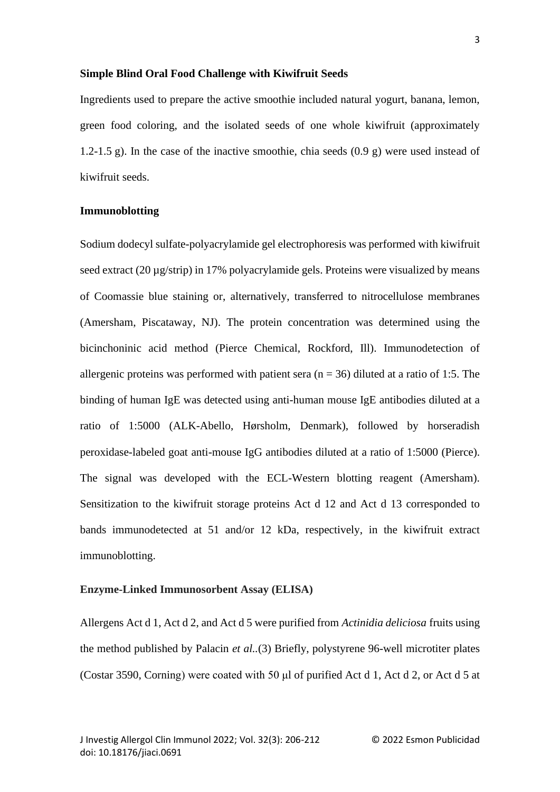### **Simple Blind Oral Food Challenge with Kiwifruit Seeds**

Ingredients used to prepare the active smoothie included natural yogurt, banana, lemon, green food coloring, and the isolated seeds of one whole kiwifruit (approximately 1.2-1.5 g). In the case of the inactive smoothie, chia seeds (0.9 g) were used instead of kiwifruit seeds.

### **Immunoblotting**

Sodium dodecyl sulfate-polyacrylamide gel electrophoresis was performed with kiwifruit seed extract (20 µg/strip) in 17% polyacrylamide gels. Proteins were visualized by means of Coomassie blue staining or, alternatively, transferred to nitrocellulose membranes (Amersham, Piscataway, NJ). The protein concentration was determined using the bicinchoninic acid method (Pierce Chemical, Rockford, Ill). Immunodetection of allergenic proteins was performed with patient sera ( $n = 36$ ) diluted at a ratio of 1:5. The binding of human IgE was detected using anti-human mouse IgE antibodies diluted at a ratio of 1:5000 (ALK-Abello, Hørsholm, Denmark), followed by horseradish peroxidase-labeled goat anti-mouse IgG antibodies diluted at a ratio of 1:5000 (Pierce). The signal was developed with the ECL-Western blotting reagent (Amersham). Sensitization to the kiwifruit storage proteins Act d 12 and Act d 13 corresponded to bands immunodetected at 51 and/or 12 kDa, respectively, in the kiwifruit extract immunoblotting.

### **Enzyme-Linked Immunosorbent Assay (ELISA)**

Allergens Act d 1, Act d 2, and Act d 5 were purified from *Actinidia deliciosa* fruits using the method published by Palacin *et al..*(3) Briefly, polystyrene 96-well microtiter plates (Costar 3590, Corning) were coated with 50 μl of purified Act d 1, Act d 2, or Act d 5 at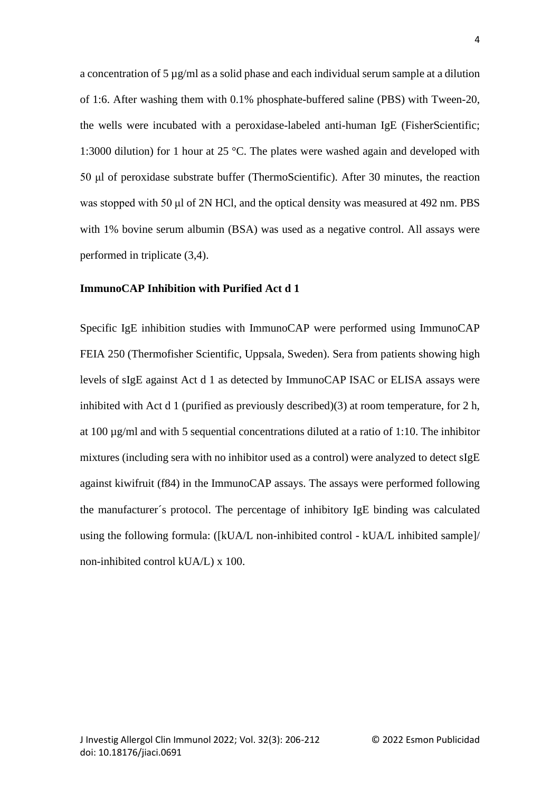a concentration of 5 µg/ml as a solid phase and each individual serum sample at a dilution of 1:6. After washing them with 0.1% phosphate-buffered saline (PBS) with Tween-20, the wells were incubated with a peroxidase-labeled anti-human IgE (FisherScientific; 1:3000 dilution) for 1 hour at 25 °C. The plates were washed again and developed with 50 μl of peroxidase substrate buffer (ThermoScientific). After 30 minutes, the reaction was stopped with 50 μl of 2N HCl, and the optical density was measured at 492 nm. PBS with 1% bovine serum albumin (BSA) was used as a negative control. All assays were performed in triplicate (3,4).

#### **ImmunoCAP Inhibition with Purified Act d 1**

Specific IgE inhibition studies with ImmunoCAP were performed using ImmunoCAP FEIA 250 (Thermofisher Scientific, Uppsala, Sweden). Sera from patients showing high levels of sIgE against Act d 1 as detected by ImmunoCAP ISAC or ELISA assays were inhibited with Act d 1 (purified as previously described)(3) at room temperature, for 2 h, at 100 µg/ml and with 5 sequential concentrations diluted at a ratio of 1:10. The inhibitor mixtures (including sera with no inhibitor used as a control) were analyzed to detect sIgE against kiwifruit (f84) in the ImmunoCAP assays. The assays were performed following the manufacturer´s protocol. The percentage of inhibitory IgE binding was calculated using the following formula: ([kUA/L non-inhibited control - kUA/L inhibited sample]/ non-inhibited control kUA/L) x 100.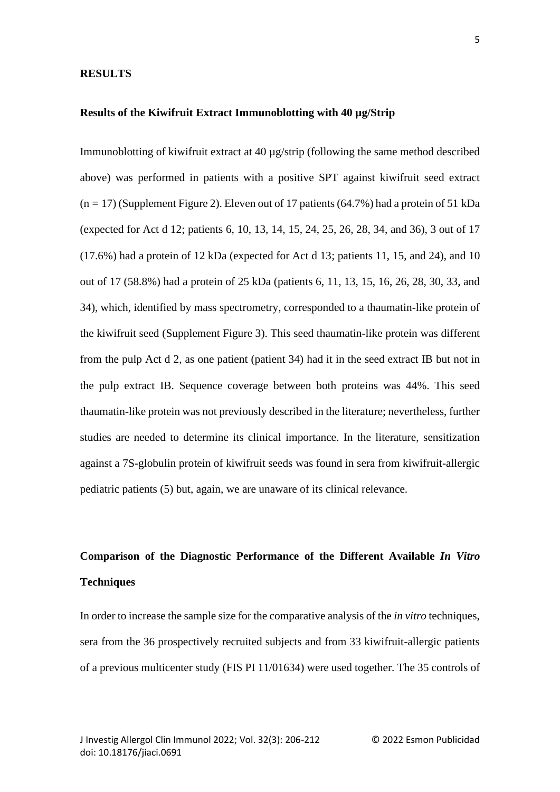#### **RESULTS**

### **Results of the Kiwifruit Extract Immunoblotting with 40 µg/Strip**

Immunoblotting of kiwifruit extract at 40 µg/strip (following the same method described above) was performed in patients with a positive SPT against kiwifruit seed extract  $(n = 17)$  (Supplement Figure 2). Eleven out of 17 patients (64.7%) had a protein of 51 kDa (expected for Act d 12; patients 6, 10, 13, 14, 15, 24, 25, 26, 28, 34, and 36), 3 out of 17 (17.6%) had a protein of 12 kDa (expected for Act d 13; patients 11, 15, and 24), and 10 out of 17 (58.8%) had a protein of 25 kDa (patients 6, 11, 13, 15, 16, 26, 28, 30, 33, and 34), which, identified by mass spectrometry, corresponded to a thaumatin-like protein of the kiwifruit seed (Supplement Figure 3). This seed thaumatin-like protein was different from the pulp Act d 2, as one patient (patient 34) had it in the seed extract IB but not in the pulp extract IB. Sequence coverage between both proteins was 44%. This seed thaumatin-like protein was not previously described in the literature; nevertheless, further studies are needed to determine its clinical importance. In the literature, sensitization against a 7S-globulin protein of kiwifruit seeds was found in sera from kiwifruit-allergic pediatric patients (5) but, again, we are unaware of its clinical relevance.

# **Comparison of the Diagnostic Performance of the Different Available** *In Vitro* **Techniques**

In order to increase the sample size for the comparative analysis of the *in vitro* techniques, sera from the 36 prospectively recruited subjects and from 33 kiwifruit-allergic patients of a previous multicenter study (FIS PI 11/01634) were used together. The 35 controls of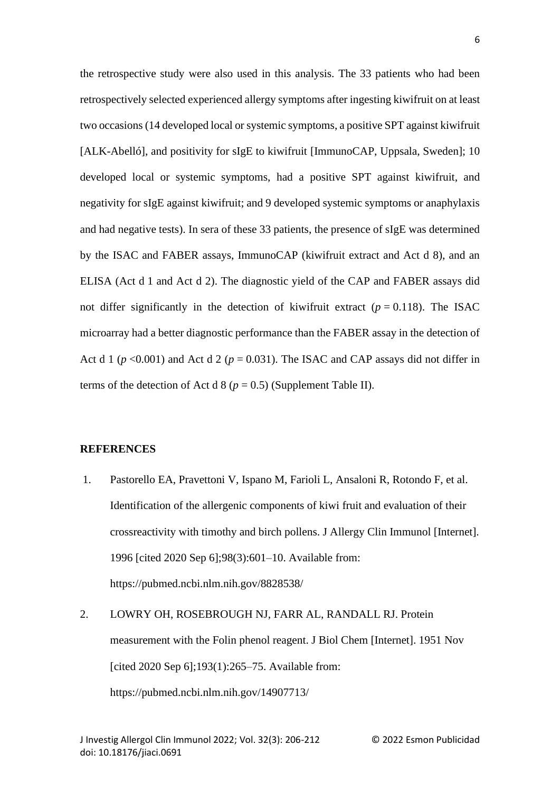the retrospective study were also used in this analysis. The 33 patients who had been retrospectively selected experienced allergy symptoms after ingesting kiwifruit on at least two occasions (14 developed local or systemic symptoms, a positive SPT against kiwifruit [ALK-Abelló], and positivity for sIgE to kiwifruit [ImmunoCAP, Uppsala, Sweden]; 10 developed local or systemic symptoms, had a positive SPT against kiwifruit, and negativity for sIgE against kiwifruit; and 9 developed systemic symptoms or anaphylaxis and had negative tests). In sera of these 33 patients, the presence of sIgE was determined by the ISAC and FABER assays, ImmunoCAP (kiwifruit extract and Act d 8), and an ELISA (Act d 1 and Act d 2). The diagnostic yield of the CAP and FABER assays did not differ significantly in the detection of kiwifruit extract  $(p = 0.118)$ . The ISAC microarray had a better diagnostic performance than the FABER assay in the detection of Act d 1 ( $p$  <0.001) and Act d 2 ( $p$  = 0.031). The ISAC and CAP assays did not differ in terms of the detection of Act d  $8 (p = 0.5)$  (Supplement Table II).

### **REFERENCES**

- 1. Pastorello EA, Pravettoni V, Ispano M, Farioli L, Ansaloni R, Rotondo F, et al. Identification of the allergenic components of kiwi fruit and evaluation of their crossreactivity with timothy and birch pollens. J Allergy Clin Immunol [Internet]. 1996 [cited 2020 Sep 6];98(3):601–10. Available from: https://pubmed.ncbi.nlm.nih.gov/8828538/
- 2. LOWRY OH, ROSEBROUGH NJ, FARR AL, RANDALL RJ. Protein measurement with the Folin phenol reagent. J Biol Chem [Internet]. 1951 Nov [cited 2020 Sep 6];193(1):265–75. Available from: https://pubmed.ncbi.nlm.nih.gov/14907713/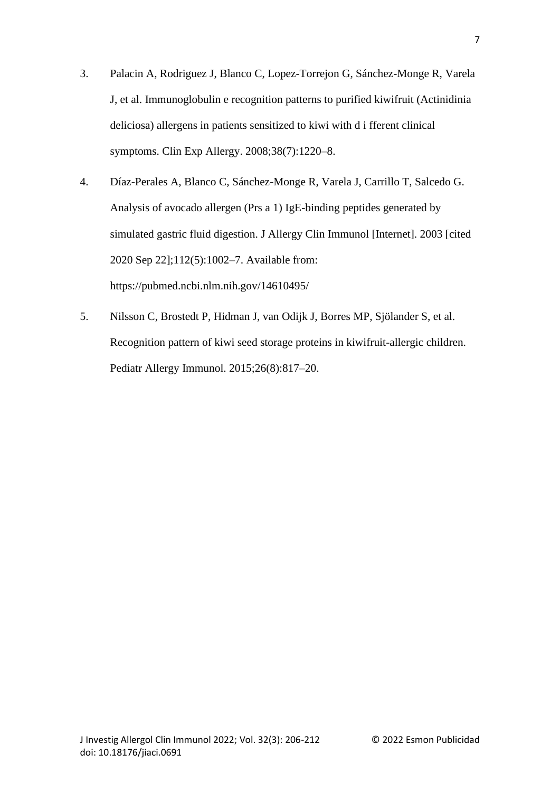- 3. Palacin A, Rodriguez J, Blanco C, Lopez-Torrejon G, Sánchez-Monge R, Varela J, et al. Immunoglobulin e recognition patterns to purified kiwifruit (Actinidinia deliciosa) allergens in patients sensitized to kiwi with d i fferent clinical symptoms. Clin Exp Allergy. 2008;38(7):1220–8.
- 4. Díaz-Perales A, Blanco C, Sánchez-Monge R, Varela J, Carrillo T, Salcedo G. Analysis of avocado allergen (Prs a 1) IgE-binding peptides generated by simulated gastric fluid digestion. J Allergy Clin Immunol [Internet]. 2003 [cited 2020 Sep 22];112(5):1002–7. Available from: https://pubmed.ncbi.nlm.nih.gov/14610495/
- 5. Nilsson C, Brostedt P, Hidman J, van Odijk J, Borres MP, Sjölander S, et al. Recognition pattern of kiwi seed storage proteins in kiwifruit-allergic children. Pediatr Allergy Immunol. 2015;26(8):817–20.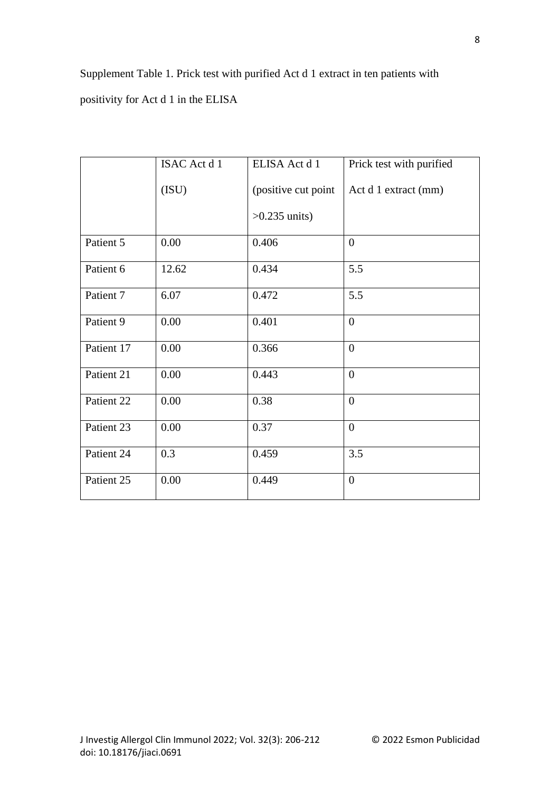Supplement Table 1. Prick test with purified Act d 1 extract in ten patients with positivity for Act d 1 in the ELISA

|            | ISAC Act d 1 | ELISA Act d 1        | Prick test with purified |
|------------|--------------|----------------------|--------------------------|
|            | (ISU)        | (positive cut point) | Act d 1 extract (mm)     |
|            |              | $>0.235$ units)      |                          |
| Patient 5  | 0.00         | 0.406                | $\theta$                 |
| Patient 6  | 12.62        | 0.434                | 5.5                      |
| Patient 7  | 6.07         | 0.472                | 5.5                      |
| Patient 9  | 0.00         | 0.401                | $\mathbf{0}$             |
| Patient 17 | 0.00         | 0.366                | $\overline{0}$           |
| Patient 21 | 0.00         | 0.443                | $\mathbf{0}$             |
| Patient 22 | 0.00         | 0.38                 | $\theta$                 |
| Patient 23 | 0.00         | 0.37                 | $\mathbf{0}$             |
| Patient 24 | 0.3          | 0.459                | 3.5                      |
| Patient 25 | 0.00         | 0.449                | $\overline{0}$           |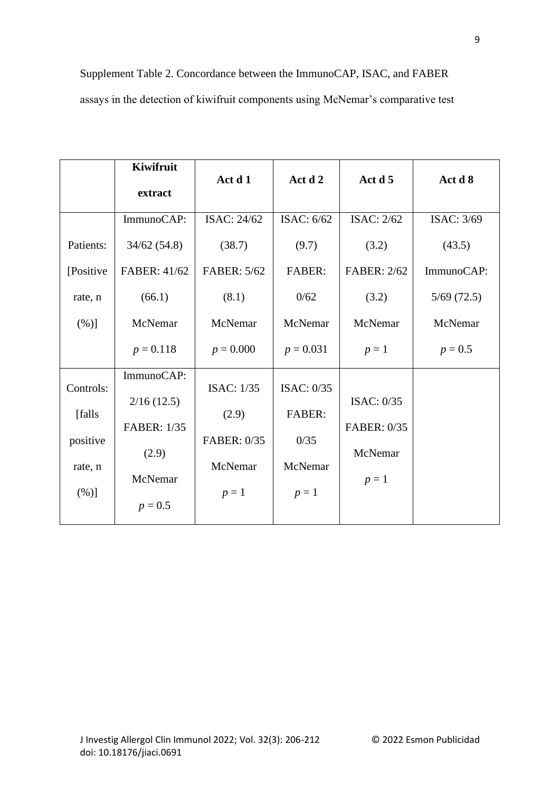# Supplement Table 2. Concordance between the ImmunoCAP, ISAC, and FABER assays in the detection of kiwifruit components using McNemar's comparative test

|           | Kiwifruit          |                   |               |                    |            |
|-----------|--------------------|-------------------|---------------|--------------------|------------|
|           | extract            | Act d 1           | Act d 2       | Act d 5            | Act d 8    |
|           | ImmunoCAP:         | ISAC: 24/62       | ISAC: $6/62$  | <b>ISAC: 2/62</b>  | ISAC: 3/69 |
| Patients: | 34/62(54.8)        | (38.7)            | (9.7)         | (3.2)              | (43.5)     |
| [Positive | FABER: 41/62       | FABER: 5/62       | <b>FABER:</b> | <b>FABER: 2/62</b> | ImmunoCAP: |
| rate, n   | (66.1)             | (8.1)             | 0/62          | (3.2)              | 5/69(72.5) |
| (%)]      | McNemar            | McNemar           | McNemar       | McNemar            | McNemar    |
|           | $p = 0.118$        | $p = 0.000$       | $p = 0.031$   | $p=1$              | $p = 0.5$  |
|           | ImmunoCAP:         |                   |               |                    |            |
| Controls: | 2/16(12.5)         | <b>ISAC: 1/35</b> | ISAC: $0/35$  | ISAC: $0/35$       |            |
| [falls]   |                    | (2.9)             | <b>FABER:</b> |                    |            |
| positive  | <b>FABER: 1/35</b> | FABER: 0/35       | 0/35          | FABER: 0/35        |            |
|           | (2.9)              |                   |               | McNemar            |            |
| rate, n   | McNemar            | McNemar           | McNemar       | $p=1$              |            |
| $(\%)]$   |                    | $p=1$             | $p=1$         |                    |            |
|           | $p = 0.5$          |                   |               |                    |            |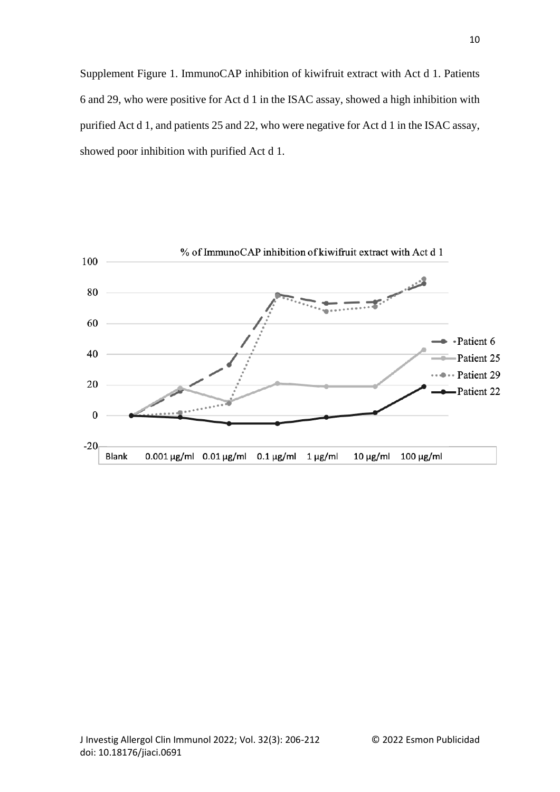Supplement Figure 1. ImmunoCAP inhibition of kiwifruit extract with Act d 1. Patients 6 and 29, who were positive for Act d 1 in the ISAC assay, showed a high inhibition with purified Act d 1, and patients 25 and 22, who were negative for Act d 1 in the ISAC assay, showed poor inhibition with purified Act d 1.

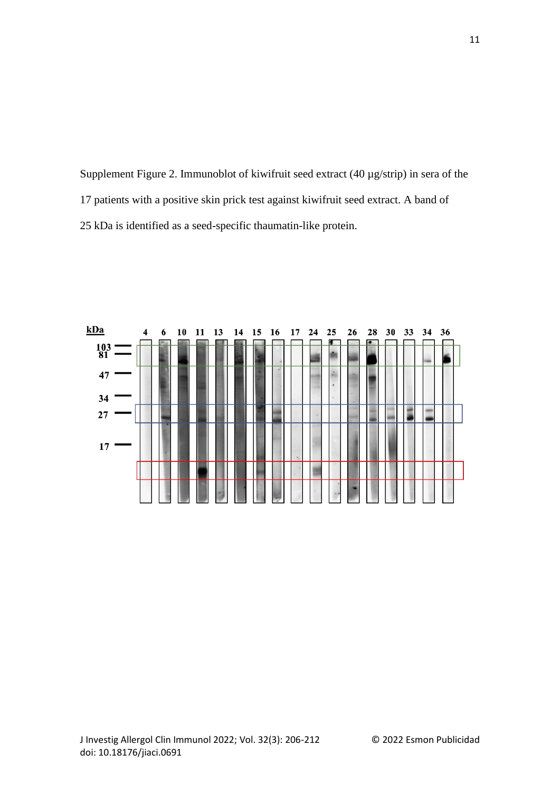Supplement Figure 2. Immunoblot of kiwifruit seed extract (40 µg/strip) in sera of the 17 patients with a positive skin prick test against kiwifruit seed extract. A band of 25 kDa is identified as a seed-specific thaumatin-like protein.



11